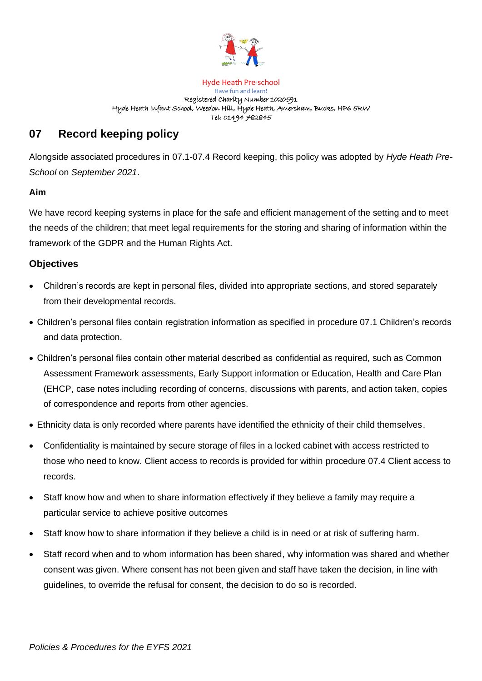

#### Hyde Heath Pre-school Have fun and learn! Registered Charity Number 1020591 Hyde Heath Infant School, Weedon Hill, Hyde Heath, Amersham, Bucks, HP6 5RW Tel: 01494 782845

# **07 Record keeping policy**

Alongside associated procedures in 07.1-07.4 Record keeping, this policy was adopted by *Hyde Heath Pre-School* on *September 2021*.

# **Aim**

We have record keeping systems in place for the safe and efficient management of the setting and to meet the needs of the children; that meet legal requirements for the storing and sharing of information within the framework of the GDPR and the Human Rights Act.

# **Objectives**

- Children's records are kept in personal files, divided into appropriate sections, and stored separately from their developmental records.
- Children's personal files contain registration information as specified in procedure 07.1 Children's records and data protection.
- Children's personal files contain other material described as confidential as required, such as Common Assessment Framework assessments, Early Support information or Education, Health and Care Plan (EHCP, case notes including recording of concerns, discussions with parents, and action taken, copies of correspondence and reports from other agencies.
- Ethnicity data is only recorded where parents have identified the ethnicity of their child themselves.
- Confidentiality is maintained by secure storage of files in a locked cabinet with access restricted to those who need to know. Client access to records is provided for within procedure 07.4 Client access to records.
- Staff know how and when to share information effectively if they believe a family may require a particular service to achieve positive outcomes
- Staff know how to share information if they believe a child is in need or at risk of suffering harm.
- Staff record when and to whom information has been shared, why information was shared and whether consent was given. Where consent has not been given and staff have taken the decision, in line with guidelines, to override the refusal for consent, the decision to do so is recorded.